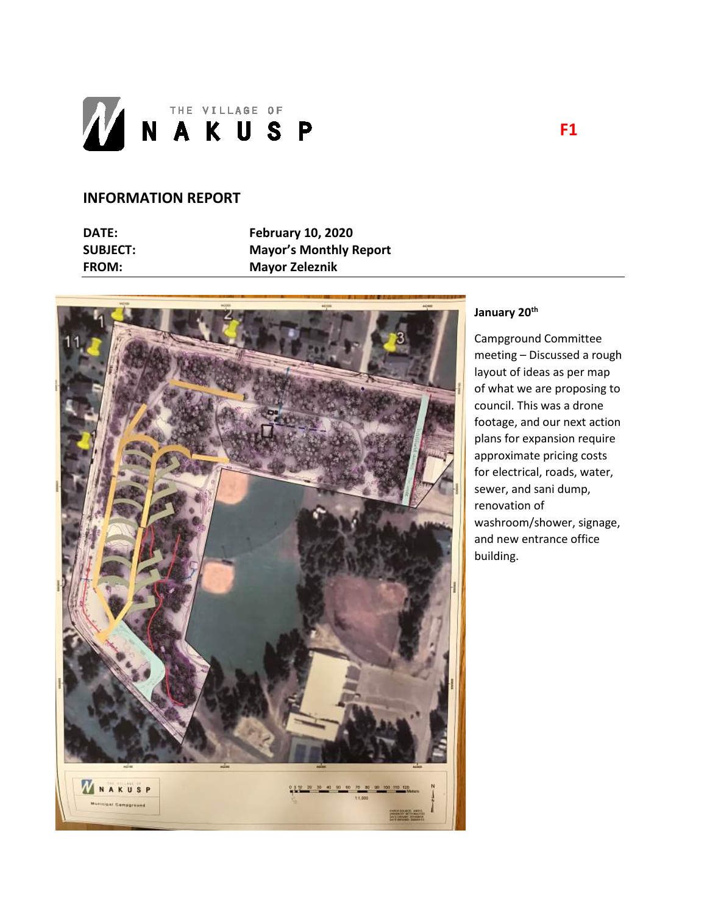

# **INFORMATION REPORT**

| <b>DATE:</b>    |  |
|-----------------|--|
| <b>SUBJECT:</b> |  |
| <b>FROM:</b>    |  |

**February 10, 2020 Mayor's Monthly Report Mayor Zeleznik** 



## January 20<sup>th</sup>

Campground Committee meeting – Discussed a rough layout of ideas as per map of what we are proposing to council. This was a drone footage, and our next action plans for expansion require approximate pricing costs for electrical, roads, water, sewer, and sani dump, renovation of washroom/shower, signage, and new entrance office building.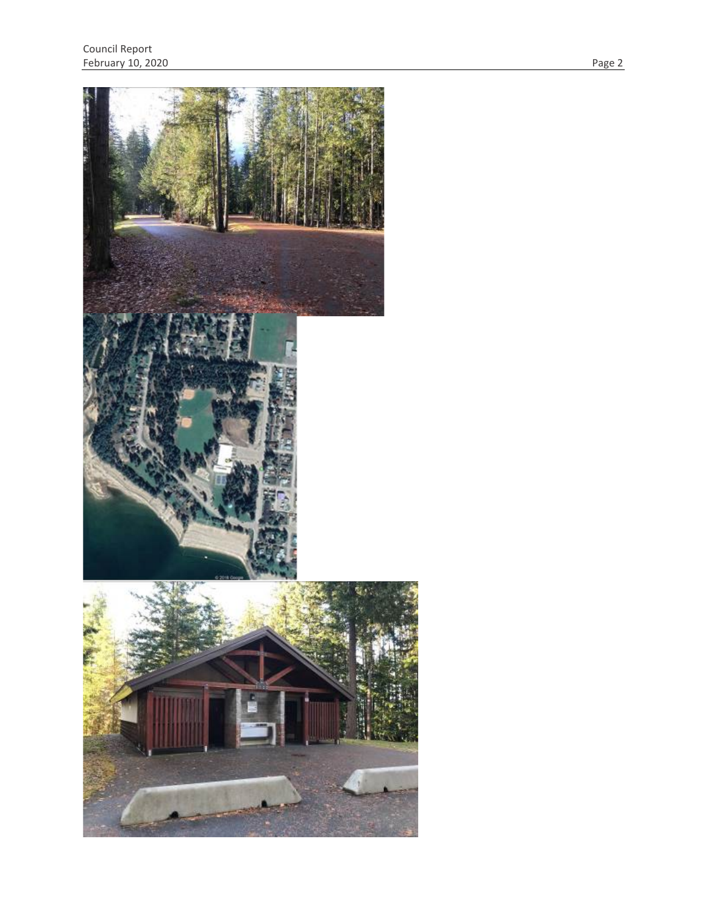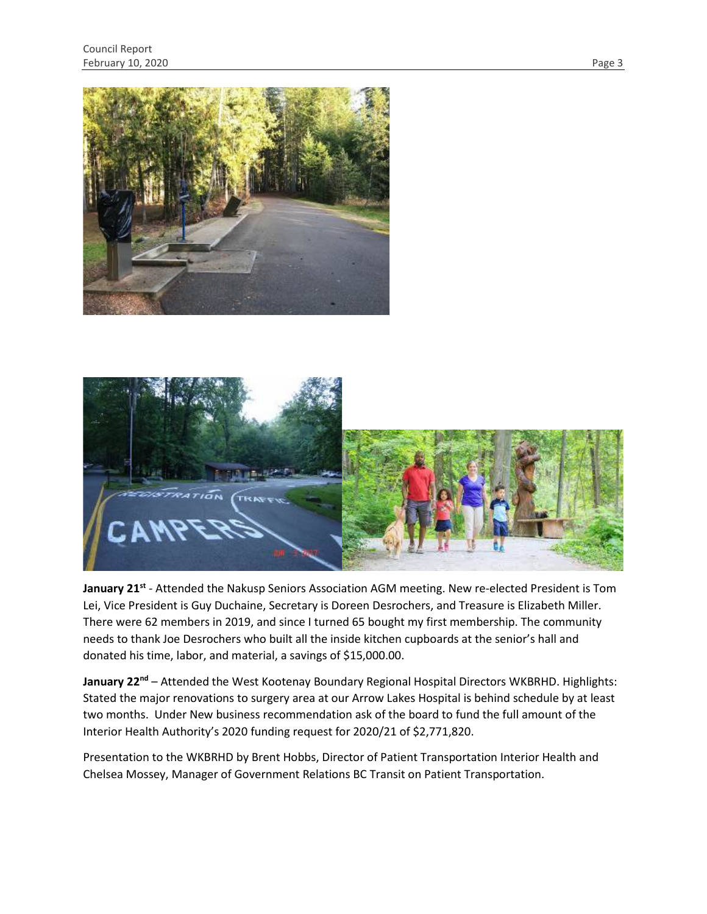



January 21<sup>st</sup> - Attended the Nakusp Seniors Association AGM meeting. New re-elected President is Tom Lei, Vice President is Guy Duchaine, Secretary is Doreen Desrochers, and Treasure is Elizabeth Miller. There were 62 members in 2019, and since I turned 65 bought my first membership. The community needs to thank Joe Desrochers who built all the inside kitchen cupboards at the senior's hall and donated his time, labor, and material, a savings of \$15,000.00.

January 22<sup>nd</sup> – Attended the West Kootenay Boundary Regional Hospital Directors WKBRHD. Highlights: Stated the major renovations to surgery area at our Arrow Lakes Hospital is behind schedule by at least two months. Under New business recommendation ask of the board to fund the full amount of the Interior Health Authority's 2020 funding request for 2020/21 of \$2,771,820.

Presentation to the WKBRHD by Brent Hobbs, Director of Patient Transportation Interior Health and Chelsea Mossey, Manager of Government Relations BC Transit on Patient Transportation.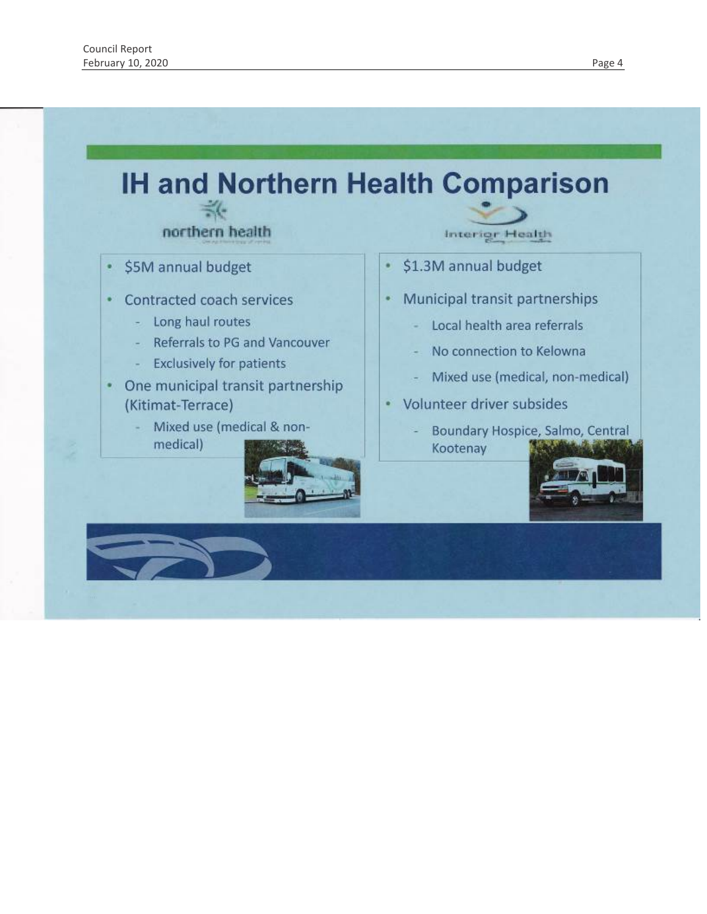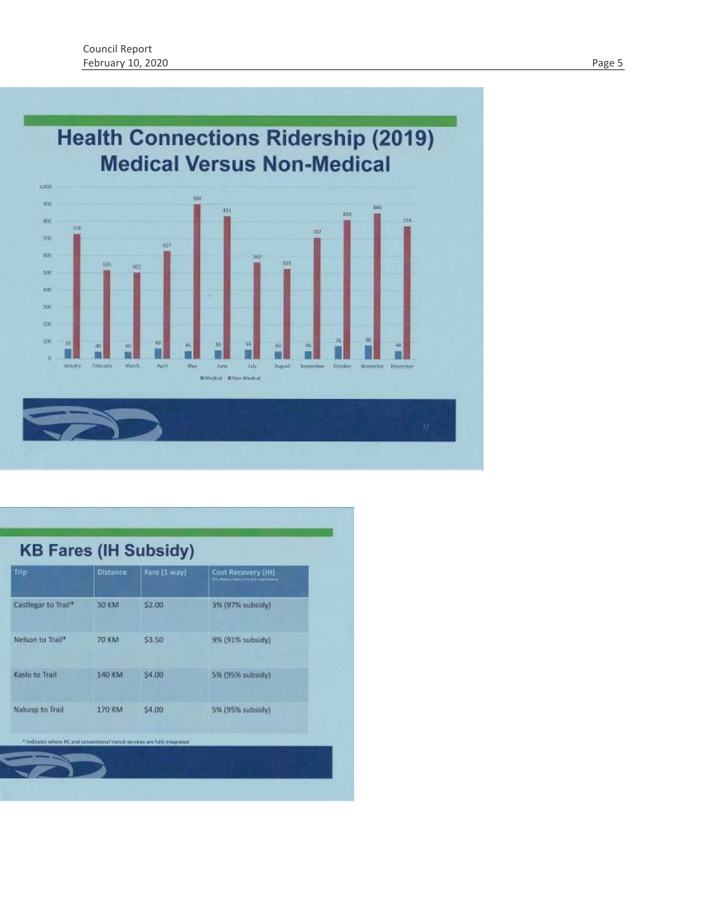# **Health Connections Ridership (2019) Medical Versus Non-Medical**



| Trip                | <b>Distance</b> | Fare (1 way) | Cost Recovery (IH)<br>the media howes for the thing |
|---------------------|-----------------|--------------|-----------------------------------------------------|
| Castlegar to Trail* | 30 KM           | \$2.00       | 3% (97% subsidy)                                    |
| Nelson to Trail*    | <b>70 KM</b>    | \$3.50       | 9% (91% subsidy)                                    |
| Kaslo to Trail      | 140 KM          | \$4.00       | 5% (95% subsidy)                                    |
| Nakusp to Trail     | 170 KM          | \$4.00       | 5% (95% subsidy)                                    |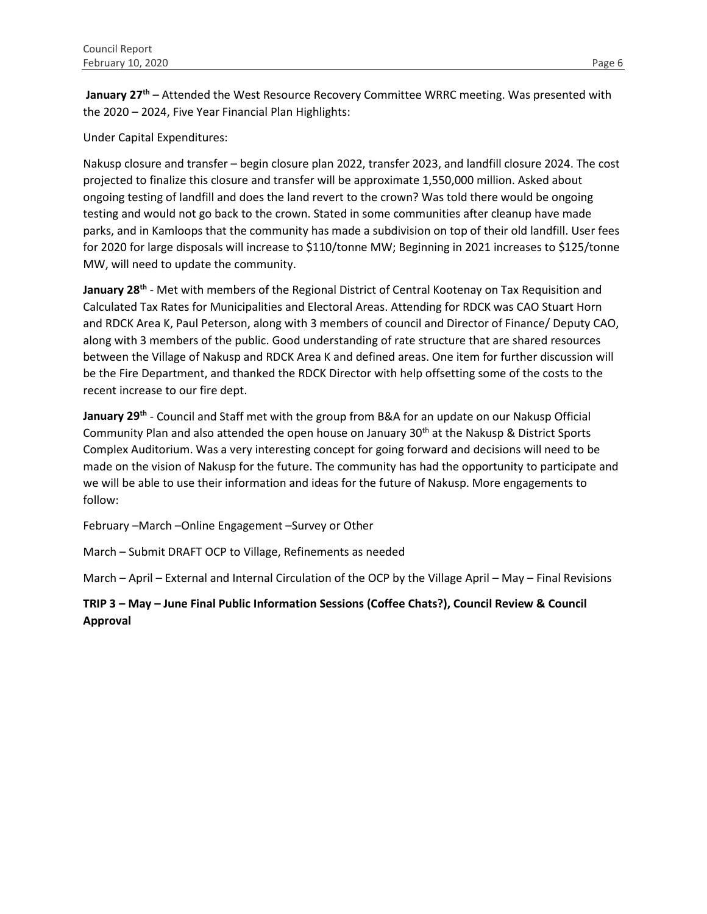January 27<sup>th</sup> – Attended the West Resource Recovery Committee WRRC meeting. Was presented with the 2020 – 2024, Five Year Financial Plan Highlights:

Under Capital Expenditures:

Nakusp closure and transfer – begin closure plan 2022, transfer 2023, and landfill closure 2024. The cost projected to finalize this closure and transfer will be approximate 1,550,000 million. Asked about ongoing testing of landfill and does the land revert to the crown? Was told there would be ongoing testing and would not go back to the crown. Stated in some communities after cleanup have made parks, and in Kamloops that the community has made a subdivision on top of their old landfill. User fees for 2020 for large disposals will increase to \$110/tonne MW; Beginning in 2021 increases to \$125/tonne MW, will need to update the community.

**January 28th** - Met with members of the Regional District of Central Kootenay on Tax Requisition and Calculated Tax Rates for Municipalities and Electoral Areas. Attending for RDCK was CAO Stuart Horn and RDCK Area K, Paul Peterson, along with 3 members of council and Director of Finance/ Deputy CAO, along with 3 members of the public. Good understanding of rate structure that are shared resources between the Village of Nakusp and RDCK Area K and defined areas. One item for further discussion will be the Fire Department, and thanked the RDCK Director with help offsetting some of the costs to the recent increase to our fire dept.

**January 29th** - Council and Staff met with the group from B&A for an update on our Nakusp Official Community Plan and also attended the open house on January  $30<sup>th</sup>$  at the Nakusp & District Sports Complex Auditorium. Was a very interesting concept for going forward and decisions will need to be made on the vision of Nakusp for the future. The community has had the opportunity to participate and we will be able to use their information and ideas for the future of Nakusp. More engagements to follow:

February –March –Online Engagement –Survey or Other

March – Submit DRAFT OCP to Village, Refinements as needed

March – April – External and Internal Circulation of the OCP by the Village April – May – Final Revisions

**TRIP 3 – May – June Final Public Information Sessions (Coffee Chats?), Council Review & Council Approval**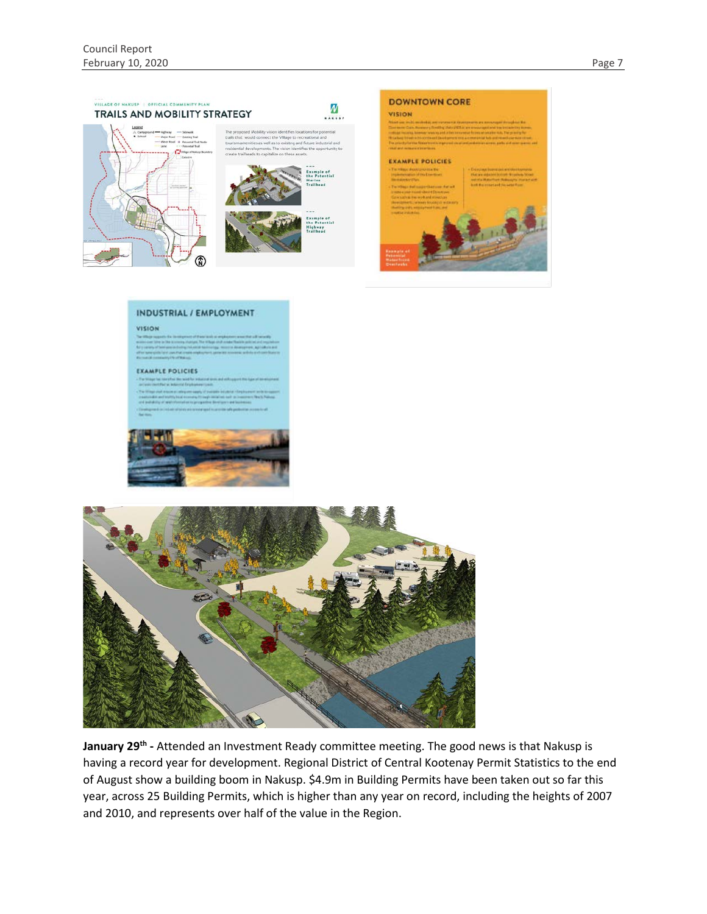







**January 29th -** Attended an Investment Ready committee meeting. The good news is that Nakusp is having a record year for development. Regional District of Central Kootenay Permit Statistics to the end of August show a building boom in Nakusp. \$4.9m in Building Permits have been taken out so far this year, across 25 Building Permits, which is higher than any year on record, including the heights of 2007 and 2010, and represents over half of the value in the Region.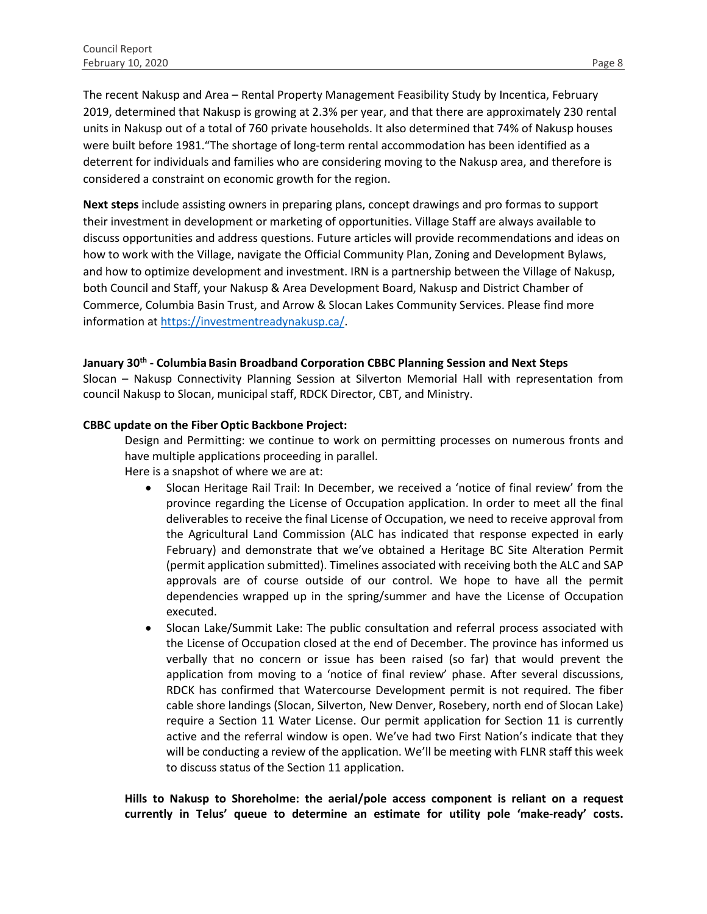The recent Nakusp and Area – Rental Property Management Feasibility Study by Incentica, February 2019, determined that Nakusp is growing at 2.3% per year, and that there are approximately 230 rental units in Nakusp out of a total of 760 private households. It also determined that 74% of Nakusp houses were built before 1981."The shortage of long-term rental accommodation has been identified as a deterrent for individuals and families who are considering moving to the Nakusp area, and therefore is considered a constraint on economic growth for the region.

**Next steps** include assisting owners in preparing plans, concept drawings and pro formas to support their investment in development or marketing of opportunities. Village Staff are always available to discuss opportunities and address questions. Future articles will provide recommendations and ideas on how to work with the Village, navigate the Official Community Plan, Zoning and Development Bylaws, and how to optimize development and investment. IRN is a partnership between the Village of Nakusp, both Council and Staff, your Nakusp & Area Development Board, Nakusp and District Chamber of Commerce, Columbia Basin Trust, and Arrow & Slocan Lakes Community Services. Please find more information at [https://investmentreadynakusp.ca/.](https://investmentreadynakusp.ca/)

### **January 30th - ColumbiaBasin Broadband Corporation CBBC Planning Session and Next Steps**

Slocan – Nakusp Connectivity Planning Session at Silverton Memorial Hall with representation from council Nakusp to Slocan, municipal staff, RDCK Director, CBT, and Ministry.

#### **CBBC update on the Fiber Optic Backbone Project:**

Design and Permitting: we continue to work on permitting processes on numerous fronts and have multiple applications proceeding in parallel.

Here is a snapshot of where we are at:

- Slocan Heritage Rail Trail: In December, we received a 'notice of final review' from the province regarding the License of Occupation application. In order to meet all the final deliverables to receive the final License of Occupation, we need to receive approval from the Agricultural Land Commission (ALC has indicated that response expected in early February) and demonstrate that we've obtained a Heritage BC Site Alteration Permit (permit application submitted). Timelines associated with receiving both the ALC and SAP approvals are of course outside of our control. We hope to have all the permit dependencies wrapped up in the spring/summer and have the License of Occupation executed.
- Slocan Lake/Summit Lake: The public consultation and referral process associated with the License of Occupation closed at the end of December. The province has informed us verbally that no concern or issue has been raised (so far) that would prevent the application from moving to a 'notice of final review' phase. After several discussions, RDCK has confirmed that Watercourse Development permit is not required. The fiber cable shore landings (Slocan, Silverton, New Denver, Rosebery, north end of Slocan Lake) require a Section 11 Water License. Our permit application for Section 11 is currently active and the referral window is open. We've had two First Nation's indicate that they will be conducting a review of the application. We'll be meeting with FLNR staff this week to discuss status of the Section 11 application.

**Hills to Nakusp to Shoreholme: the aerial/pole access component is reliant on a request currently in Telus' queue to determine an estimate for utility pole 'make-ready' costs.**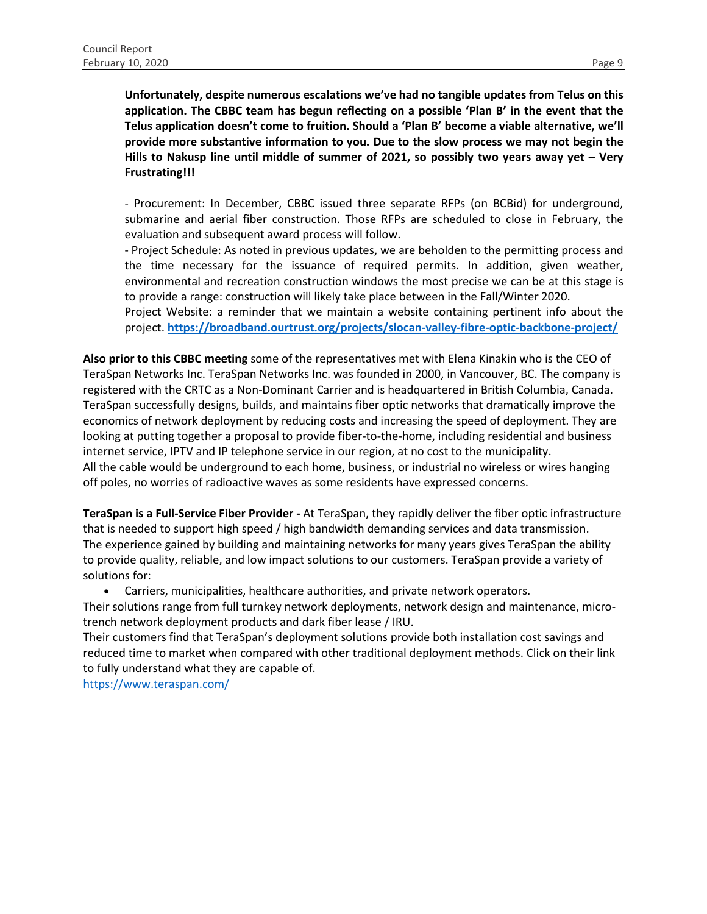**Unfortunately, despite numerous escalations we've had no tangible updates from Telus on this application. The CBBC team has begun reflecting on a possible 'Plan B' in the event that the Telus application doesn't come to fruition. Should a 'Plan B' become a viable alternative, we'll provide more substantive information to you. Due to the slow process we may not begin the Hills to Nakusp line until middle of summer of 2021, so possibly two years away yet – Very Frustrating!!!**

- Procurement: In December, CBBC issued three separate RFPs (on BCBid) for underground, submarine and aerial fiber construction. Those RFPs are scheduled to close in February, the evaluation and subsequent award process will follow.

- Project Schedule: As noted in previous updates, we are beholden to the permitting process and the time necessary for the issuance of required permits. In addition, given weather, environmental and recreation construction windows the most precise we can be at this stage is to provide a range: construction will likely take place between in the Fall/Winter 2020.

Project Website: a reminder that we maintain a website containing pertinent info about the project. **<https://broadband.ourtrust.org/projects/slocan-valley-fibre-optic-backbone-project/>**

**Also prior to this CBBC meeting** some of the representatives met with Elena Kinakin who is the CEO of TeraSpan Networks Inc. TeraSpan Networks Inc. was founded in 2000, in Vancouver, BC. The company is registered with the CRTC as a Non-Dominant Carrier and is headquartered in British Columbia, Canada. TeraSpan successfully designs, builds, and maintains fiber optic networks that dramatically improve the economics of network deployment by reducing costs and increasing the speed of deployment. They are looking at putting together a proposal to provide fiber-to-the-home, including residential and business internet service, IPTV and IP telephone service in our region, at no cost to the municipality. All the cable would be underground to each home, business, or industrial no wireless or wires hanging off poles, no worries of radioactive waves as some residents have expressed concerns.

**TeraSpan is a Full-Service Fiber Provider -** At TeraSpan, they rapidly deliver the fiber optic infrastructure that is needed to support high speed / high bandwidth demanding services and data transmission. The experience gained by building and maintaining networks for many years gives TeraSpan the ability to provide quality, reliable, and low impact solutions to our customers. TeraSpan provide a variety of solutions for:

• Carriers, municipalities, healthcare authorities, and private network operators.

Their solutions range from full turnkey network deployments, network design and maintenance, microtrench network deployment products and dark fiber lease / IRU.

Their customers find that TeraSpan's deployment solutions provide both installation cost savings and reduced time to market when compared with other traditional deployment methods. Click on their link to fully understand what they are capable of.

<https://www.teraspan.com/>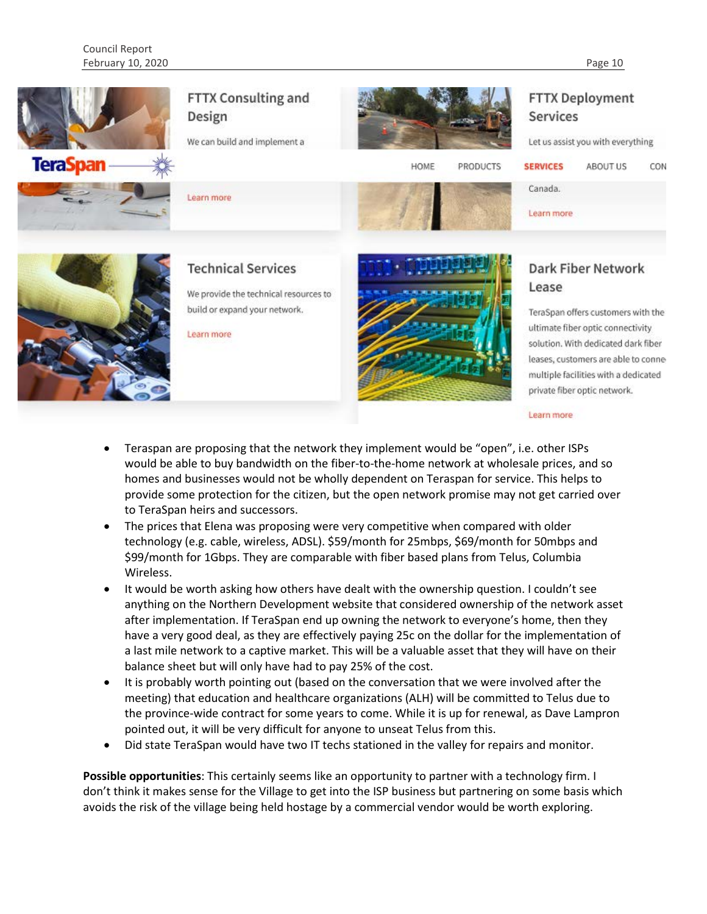

# **FTTX Deployment Services**

Let us assist you with everything

**SERVICES** ABOUT US CON

Canada.

Learn more



# **Dark Fiber Network** Lease

TeraSpan offers customers with the ultimate fiber optic connectivity solution. With dedicated dark fiber leases, customers are able to connemultiple facilities with a dedicated private fiber optic network.

Learn more

- Teraspan are proposing that the network they implement would be "open", i.e. other ISPs would be able to buy bandwidth on the fiber-to-the-home network at wholesale prices, and so homes and businesses would not be wholly dependent on Teraspan for service. This helps to provide some protection for the citizen, but the open network promise may not get carried over to TeraSpan heirs and successors.
- The prices that Elena was proposing were very competitive when compared with older technology (e.g. cable, wireless, ADSL). \$59/month for 25mbps, \$69/month for 50mbps and \$99/month for 1Gbps. They are comparable with fiber based plans from Telus, Columbia Wireless.
- It would be worth asking how others have dealt with the ownership question. I couldn't see anything on the Northern Development website that considered ownership of the network asset after implementation. If TeraSpan end up owning the network to everyone's home, then they have a very good deal, as they are effectively paying 25c on the dollar for the implementation of a last mile network to a captive market. This will be a valuable asset that they will have on their balance sheet but will only have had to pay 25% of the cost.
- It is probably worth pointing out (based on the conversation that we were involved after the meeting) that education and healthcare organizations (ALH) will be committed to Telus due to the province-wide contract for some years to come. While it is up for renewal, as Dave Lampron pointed out, it will be very difficult for anyone to unseat Telus from this.
- Did state TeraSpan would have two IT techs stationed in the valley for repairs and monitor.

**Possible opportunities**: This certainly seems like an opportunity to partner with a technology firm. I don't think it makes sense for the Village to get into the ISP business but partnering on some basis which avoids the risk of the village being held hostage by a commercial vendor would be worth exploring.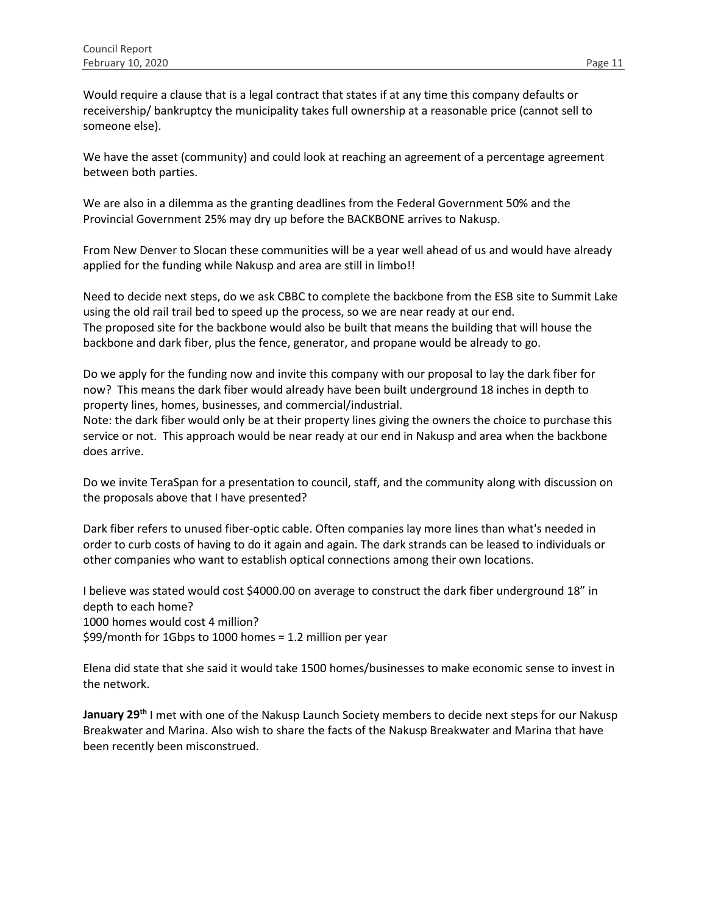Would require a clause that is a legal contract that states if at any time this company defaults or receivership/ bankruptcy the municipality takes full ownership at a reasonable price (cannot sell to someone else).

We have the asset (community) and could look at reaching an agreement of a percentage agreement between both parties.

We are also in a dilemma as the granting deadlines from the Federal Government 50% and the Provincial Government 25% may dry up before the BACKBONE arrives to Nakusp.

From New Denver to Slocan these communities will be a year well ahead of us and would have already applied for the funding while Nakusp and area are still in limbo!!

Need to decide next steps, do we ask CBBC to complete the backbone from the ESB site to Summit Lake using the old rail trail bed to speed up the process, so we are near ready at our end. The proposed site for the backbone would also be built that means the building that will house the backbone and dark fiber, plus the fence, generator, and propane would be already to go.

Do we apply for the funding now and invite this company with our proposal to lay the dark fiber for now? This means the dark fiber would already have been built underground 18 inches in depth to property lines, homes, businesses, and commercial/industrial.

Note: the dark fiber would only be at their property lines giving the owners the choice to purchase this service or not. This approach would be near ready at our end in Nakusp and area when the backbone does arrive.

Do we invite TeraSpan for a presentation to council, staff, and the community along with discussion on the proposals above that I have presented?

Dark fiber refers to unused fiber-optic cable. Often companies lay more lines than what's needed in order to curb costs of having to do it again and again. The dark strands can be leased to individuals or other companies who want to establish optical connections among their own locations.

I believe was stated would cost \$4000.00 on average to construct the dark fiber underground 18" in depth to each home? 1000 homes would cost 4 million? \$99/month for 1Gbps to 1000 homes = 1.2 million per year

Elena did state that she said it would take 1500 homes/businesses to make economic sense to invest in the network.

**January 29th** I met with one of the Nakusp Launch Society members to decide next steps for our Nakusp Breakwater and Marina. Also wish to share the facts of the Nakusp Breakwater and Marina that have been recently been misconstrued.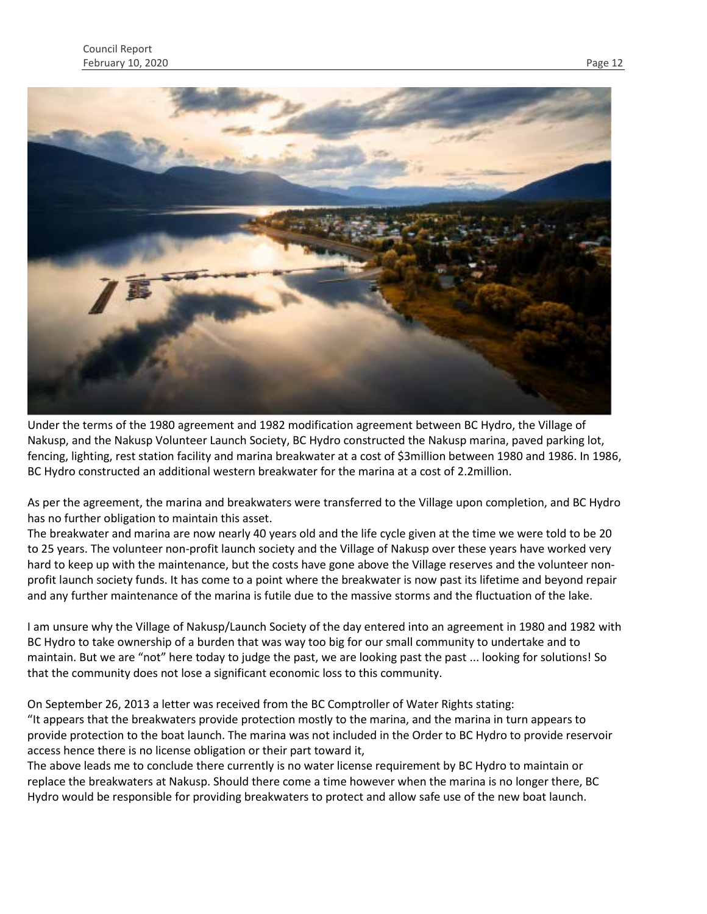

Under the terms of the 1980 agreement and 1982 modification agreement between BC Hydro, the Village of Nakusp, and the Nakusp Volunteer Launch Society, BC Hydro constructed the Nakusp marina, paved parking lot, fencing, lighting, rest station facility and marina breakwater at a cost of \$3million between 1980 and 1986. In 1986, BC Hydro constructed an additional western breakwater for the marina at a cost of 2.2million.

As per the agreement, the marina and breakwaters were transferred to the Village upon completion, and BC Hydro has no further obligation to maintain this asset.

The breakwater and marina are now nearly 40 years old and the life cycle given at the time we were told to be 20 to 25 years. The volunteer non-profit launch society and the Village of Nakusp over these years have worked very hard to keep up with the maintenance, but the costs have gone above the Village reserves and the volunteer nonprofit launch society funds. It has come to a point where the breakwater is now past its lifetime and beyond repair and any further maintenance of the marina is futile due to the massive storms and the fluctuation of the lake.

I am unsure why the Village of Nakusp/Launch Society of the day entered into an agreement in 1980 and 1982 with BC Hydro to take ownership of a burden that was way too big for our small community to undertake and to maintain. But we are "not" here today to judge the past, we are looking past the past ... looking for solutions! So that the community does not lose a significant economic loss to this community.

On September 26, 2013 a letter was received from the BC Comptroller of Water Rights stating: "It appears that the breakwaters provide protection mostly to the marina, and the marina in turn appears to provide protection to the boat launch. The marina was not included in the Order to BC Hydro to provide reservoir access hence there is no license obligation or their part toward it,

The above leads me to conclude there currently is no water license requirement by BC Hydro to maintain or replace the breakwaters at Nakusp. Should there come a time however when the marina is no longer there, BC Hydro would be responsible for providing breakwaters to protect and allow safe use of the new boat launch.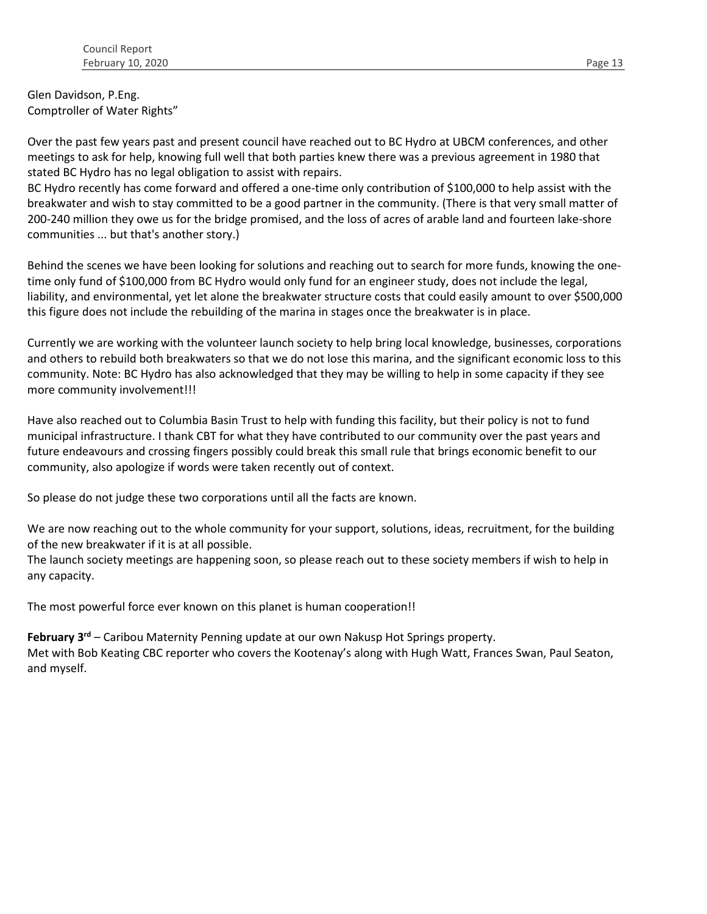Glen Davidson, P.Eng. Comptroller of Water Rights"

Over the past few years past and present council have reached out to BC Hydro at UBCM conferences, and other meetings to ask for help, knowing full well that both parties knew there was a previous agreement in 1980 that stated BC Hydro has no legal obligation to assist with repairs.

BC Hydro recently has come forward and offered a one-time only contribution of \$100,000 to help assist with the breakwater and wish to stay committed to be a good partner in the community. (There is that very small matter of 200-240 million they owe us for the bridge promised, and the loss of acres of arable land and fourteen lake-shore communities ... but that's another story.)

Behind the scenes we have been looking for solutions and reaching out to search for more funds, knowing the onetime only fund of \$100,000 from BC Hydro would only fund for an engineer study, does not include the legal, liability, and environmental, yet let alone the breakwater structure costs that could easily amount to over \$500,000 this figure does not include the rebuilding of the marina in stages once the breakwater is in place.

Currently we are working with the volunteer launch society to help bring local knowledge, businesses, corporations and others to rebuild both breakwaters so that we do not lose this marina, and the significant economic loss to this community. Note: BC Hydro has also acknowledged that they may be willing to help in some capacity if they see more community involvement!!!

Have also reached out to Columbia Basin Trust to help with funding this facility, but their policy is not to fund municipal infrastructure. I thank CBT for what they have contributed to our community over the past years and future endeavours and crossing fingers possibly could break this small rule that brings economic benefit to our community, also apologize if words were taken recently out of context.

So please do not judge these two corporations until all the facts are known.

We are now reaching out to the whole community for your support, solutions, ideas, recruitment, for the building of the new breakwater if it is at all possible.

The launch society meetings are happening soon, so please reach out to these society members if wish to help in any capacity.

The most powerful force ever known on this planet is human cooperation!!

**February 3rd** – Caribou Maternity Penning update at our own Nakusp Hot Springs property. Met with Bob Keating CBC reporter who covers the Kootenay's along with Hugh Watt, Frances Swan, Paul Seaton, and myself.